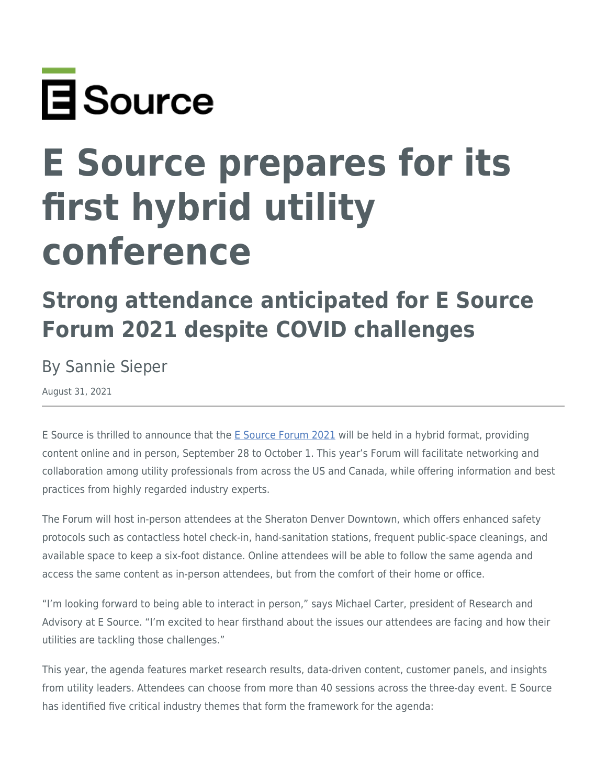

## **E Source prepares for its first hybrid utility conference**

## **Strong attendance anticipated for E Source Forum 2021 despite COVID challenges**

By Sannie Sieper

August 31, 2021

E Source is thrilled to announce that the [E Source Forum 2021](https://www.esource.com/forum2021) will be held in a hybrid format, providing content online and in person, September 28 to October 1. This year's Forum will facilitate networking and collaboration among utility professionals from across the US and Canada, while offering information and best practices from highly regarded industry experts.

The Forum will host in-person attendees at the Sheraton Denver Downtown, which offers enhanced safety protocols such as contactless hotel check-in, hand-sanitation stations, frequent public-space cleanings, and available space to keep a six-foot distance. Online attendees will be able to follow the same agenda and access the same content as in-person attendees, but from the comfort of their home or office.

"I'm looking forward to being able to interact in person," says Michael Carter, president of Research and Advisory at E Source. "I'm excited to hear firsthand about the issues our attendees are facing and how their utilities are tackling those challenges."

This year, the agenda features market research results, data-driven content, customer panels, and insights from utility leaders. Attendees can choose from more than 40 sessions across the three-day event. E Source has identified five critical industry themes that form the framework for the agenda: